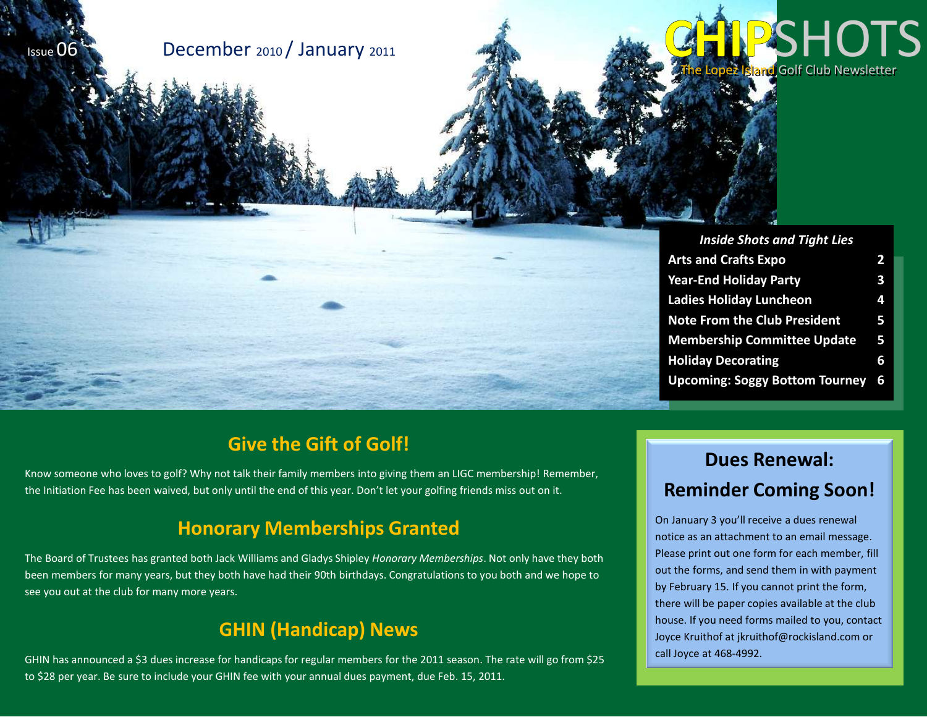

# The Lopez I<mark>sland</mark> Golf Club Newsletter **PSHOT**

| <b>Inside Shots and Tight Lies</b>    |   |
|---------------------------------------|---|
| <b>Arts and Crafts Expo</b>           | 2 |
| <b>Year-End Holiday Party</b>         | 3 |
| <b>Ladies Holiday Luncheon</b>        | 4 |
| <b>Note From the Club President</b>   | 5 |
| <b>Membership Committee Update</b>    | 5 |
| <b>Holiday Decorating</b>             | 6 |
| <b>Upcoming: Soggy Bottom Tourney</b> | 6 |

## **Give the Gift of Golf!**

Know someone who loves to golf? Why not talk their family members into giving them an LIGC membership! Remember, the Initiation Fee has been waived, but only until the end of this year. Don't let your golfing friends miss out on it.

#### **Honorary Memberships Granted**

The Board of Trustees has granted both Jack Williams and Gladys Shipley *Honorary Memberships*. Not only have they both been members for many years, but they both have had their 90th birthdays. Congratulations to you both and we hope to see you out at the club for many more years.

## **GHIN (Handicap) News**

GHIN has announced a \$3 dues increase for handicaps for regular members for the 2011 season. The rate will go from \$25 to \$28 per year. Be sure to include your GHIN fee with your annual dues payment, due Feb. 15, 2011.

## **Dues Renewal: Reminder Coming Soon!**

On January 3 you'll receive a dues renewal notice as an attachment to an email message. Please print out one form for each member, fill out the forms, and send them in with payment by February 15. If you cannot print the form, there will be paper copies available at the club house. If you need forms mailed to you, contact Joyce Kruithof at jkruithof@rockisland.com or call Joyce at 468-4992.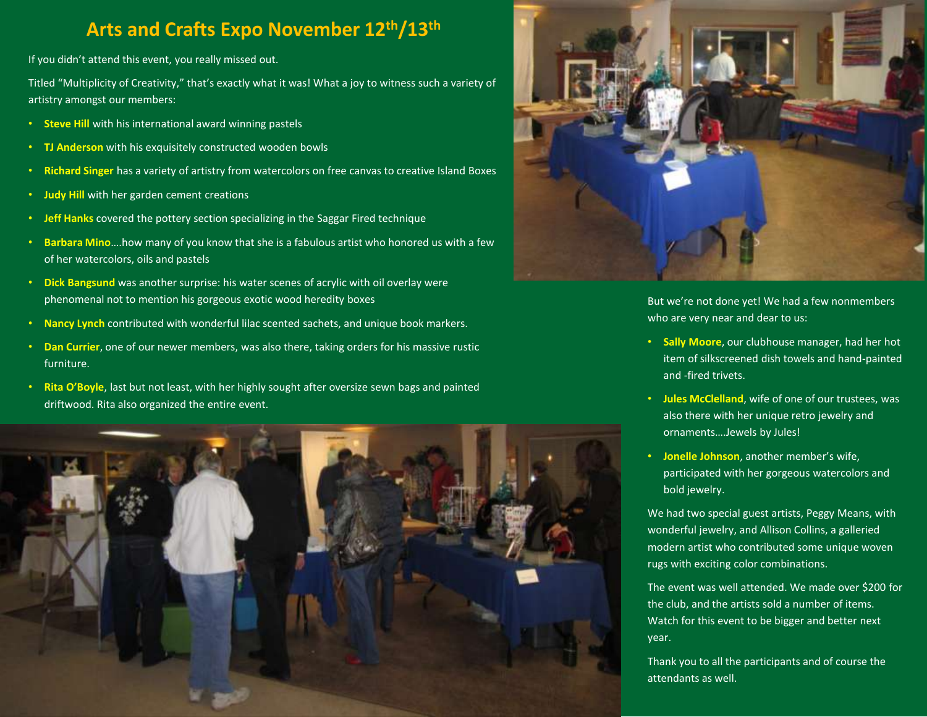## **Arts and Crafts Expo November 12th/13th**

If you didn't attend this event, you really missed out.

Titled "Multiplicity of Creativity," that's exactly what it was! What a joy to witness such a variety of artistry amongst our members:

- **Steve Hill** with his international award winning pastels
- **TJ Anderson** with his exquisitely constructed wooden bowls
- **Richard Singer** has a variety of artistry from watercolors on free canvas to creative Island Boxes
- **Judy Hill** with her garden cement creations
- **Jeff Hanks** covered the pottery section specializing in the Saggar Fired technique
- **Barbara Mino**….how many of you know that she is a fabulous artist who honored us with a few of her watercolors, oils and pastels
- **Dick Bangsund** was another surprise: his water scenes of acrylic with oil overlay were phenomenal not to mention his gorgeous exotic wood heredity boxes
- **Nancy Lynch** contributed with wonderful lilac scented sachets, and unique book markers.
- **Dan Currier**, one of our newer members, was also there, taking orders for his massive rustic furniture.
- **Rita O'Boyle**, last but not least, with her highly sought after oversize sewn bags and painted driftwood. Rita also organized the entire event.





But we're not done yet! We had a few nonmembers who are very near and dear to us:

- **Sally Moore**, our clubhouse manager, had her hot item of silkscreened dish towels and hand-painted and -fired trivets.
- **Jules McClelland**, wife of one of our trustees, was also there with her unique retro jewelry and ornaments….Jewels by Jules!
- **Jonelle Johnson**, another member's wife, participated with her gorgeous watercolors and bold jewelry.

We had two special guest artists, Peggy Means, with wonderful jewelry, and Allison Collins, a galleried modern artist who contributed some unique woven rugs with exciting color combinations.

The event was well attended. We made over \$200 for the club, and the artists sold a number of items. Watch for this event to be bigger and better next year.

Thank you to all the participants and of course the attendants as well.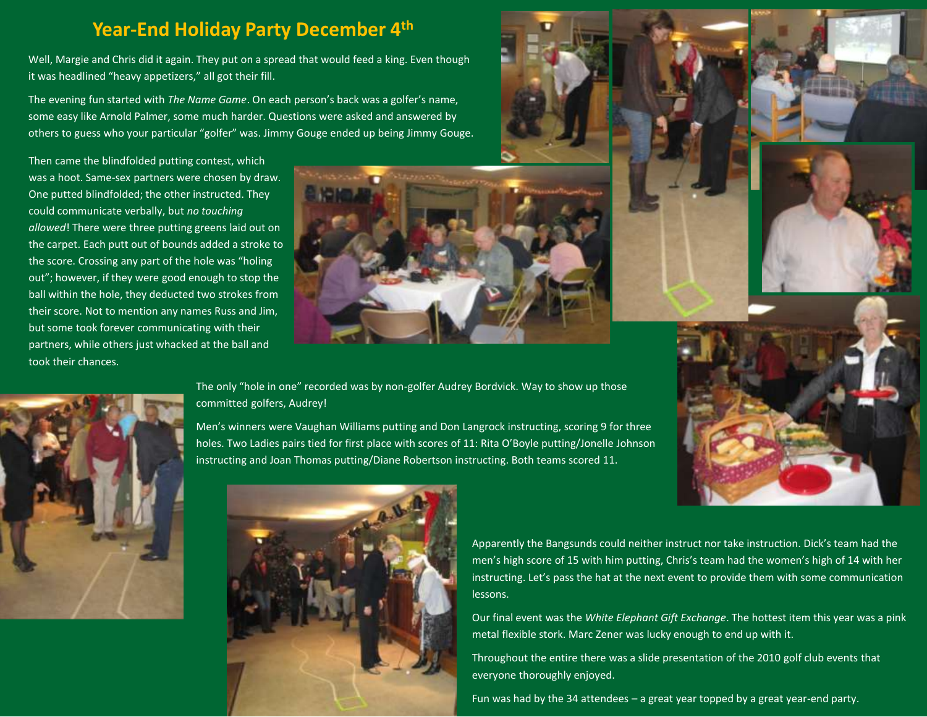#### **Year-End Holiday Party December 4th**

Well, Margie and Chris did it again. They put on a spread that would feed a king. Even though it was headlined "heavy appetizers," all got their fill.

The evening fun started with *The Name Game*. On each person's back was a golfer's name, some easy like Arnold Palmer, some much harder. Questions were asked and answered by others to guess who your particular "golfer" was. Jimmy Gouge ended up being Jimmy Gouge.

Then came the blindfolded putting contest, which was a hoot. Same-sex partners were chosen by draw. One putted blindfolded; the other instructed. They could communicate verbally, but *no touching allowed*! There were three putting greens laid out on the carpet. Each putt out of bounds added a stroke to the score. Crossing any part of the hole was "holing out"; however, if they were good enough to stop the ball within the hole, they deducted two strokes from their score. Not to mention any names Russ and Jim, but some took forever communicating with their partners, while others just whacked at the ball and took their chances.





The only "hole in one" recorded was by non-golfer Audrey Bordvick. Way to show up those committed golfers, Audrey!

Men's winners were Vaughan Williams putting and Don Langrock instructing, scoring 9 for three holes. Two Ladies pairs tied for first place with scores of 11: Rita O'Boyle putting/Jonelle Johnson instructing and Joan Thomas putting/Diane Robertson instructing. Both teams scored 11.



Apparently the Bangsunds could neither instruct nor take instruction. Dick's team had the men's high score of 15 with him putting, Chris's team had the women's high of 14 with her instructing. Let's pass the hat at the next event to provide them with some communication lessons.

Our final event was the *White Elephant Gift Exchange*. The hottest item this year was a pink metal flexible stork. Marc Zener was lucky enough to end up with it.

Throughout the entire there was a slide presentation of the 2010 golf club events that everyone thoroughly enjoyed.

Fun was had by the 34 attendees – a great year topped by a great year-end party.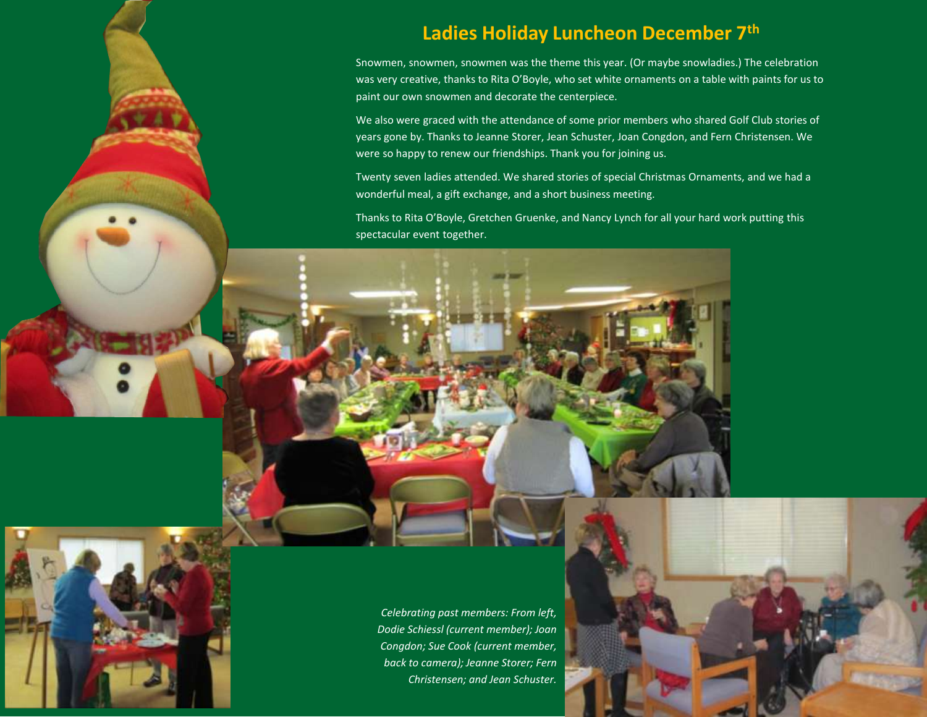## **Ladies Holiday Luncheon December 7th**

Snowmen, snowmen, snowmen was the theme this year. (Or maybe snowladies.) The celebration was very creative, thanks to Rita O'Boyle, who set white ornaments on a table with paints for us to paint our own snowmen and decorate the centerpiece.

We also were graced with the attendance of some prior members who shared Golf Club stories of years gone by. Thanks to Jeanne Storer, Jean Schuster, Joan Congdon, and Fern Christensen. We were so happy to renew our friendships. Thank you for joining us.

Twenty seven ladies attended. We shared stories of special Christmas Ornaments, and we had a wonderful meal, a gift exchange, and a short business meeting.

Thanks to Rita O'Boyle, Gretchen Gruenke, and Nancy Lynch for all your hard work putting this spectacular event together.

*Celebrating past members: From left, Dodie Schiessl (current member); Joan Congdon; Sue Cook (current member, back to camera); Jeanne Storer; Fern Christensen; and Jean Schuster.*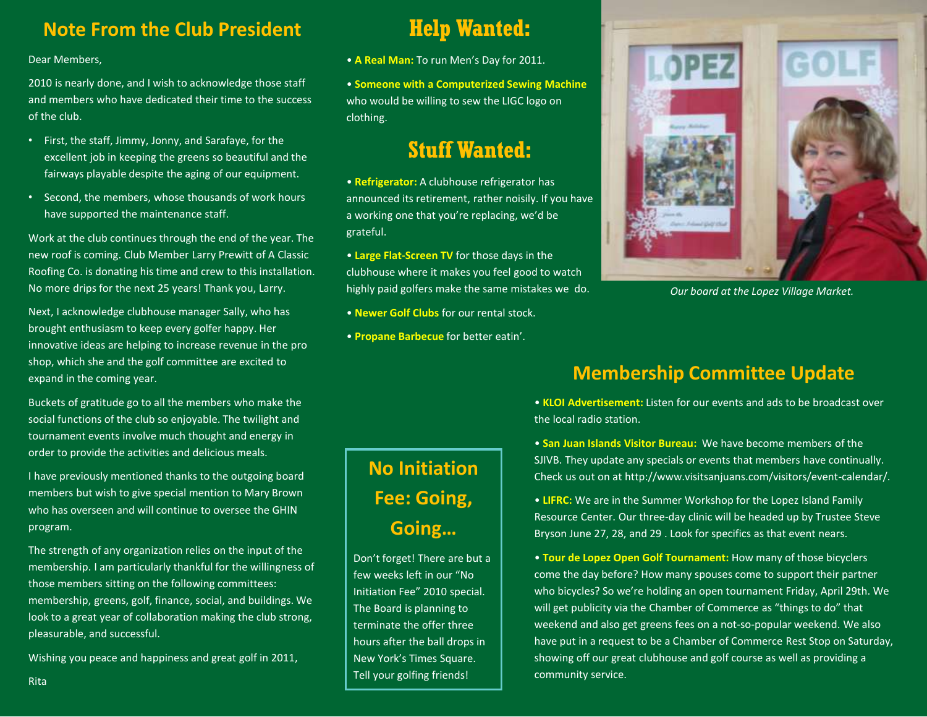### **Note From the Club President**

#### Dear Members,

2010 is nearly done, and I wish to acknowledge those staff and members who have dedicated their time to the success of the club.

- First, the staff, Jimmy, Jonny, and Sarafaye, for the excellent job in keeping the greens so beautiful and the fairways playable despite the aging of our equipment.
- Second, the members, whose thousands of work hours have supported the maintenance staff.

Work at the club continues through the end of the year. The new roof is coming. Club Member Larry Prewitt of A Classic Roofing Co. is donating his time and crew to this installation. No more drips for the next 25 years! Thank you, Larry.

Next, I acknowledge clubhouse manager Sally, who has brought enthusiasm to keep every golfer happy. Her innovative ideas are helping to increase revenue in the pro shop, which she and the golf committee are excited to expand in the coming year.

Buckets of gratitude go to all the members who make the social functions of the club so enjoyable. The twilight and tournament events involve much thought and energy in order to provide the activities and delicious meals.

I have previously mentioned thanks to the outgoing board members but wish to give special mention to Mary Brown who has overseen and will continue to oversee the GHIN program.

The strength of any organization relies on the input of the membership. I am particularly thankful for the willingness of those members sitting on the following committees: membership, greens, golf, finance, social, and buildings. We look to a great year of collaboration making the club strong, pleasurable, and successful.

Wishing you peace and happiness and great golf in 2011,

## **Help Wanted:**

- **A Real Man:** To run Men's Day for 2011.
- **Someone with a Computerized Sewing Machine**  who would be willing to sew the LIGC logo on clothing.

## **Stuff Wanted:**

• **Refrigerator:** A clubhouse refrigerator has announced its retirement, rather noisily. If you have a working one that you're replacing, we'd be grateful.

• **Large Flat-Screen TV** for those days in the clubhouse where it makes you feel good to watch highly paid golfers make the same mistakes we do.

- **Newer Golf Clubs** for our rental stock.
- **Propane Barbecue** for better eatin'.

## **No Initiation Fee: Going, Going…**

Don't forget! There are but a few weeks left in our "No Initiation Fee" 2010 special. The Board is planning to terminate the offer three hours after the ball drops in New York's Times Square. Tell your golfing friends!



*Our board at the Lopez Village Market.*

## **Membership Committee Update**

• **KLOI Advertisement:** Listen for our events and ads to be broadcast over the local radio station.

• **San Juan Islands Visitor Bureau:** We have become members of the SJIVB. They update any specials or events that members have continually. Check us out on at http://www.visitsanjuans.com/visitors/event-calendar/.

• **LIFRC:** We are in the Summer Workshop for the Lopez Island Family Resource Center. Our three-day clinic will be headed up by Trustee Steve Bryson June 27, 28, and 29 . Look for specifics as that event nears.

• **Tour de Lopez Open Golf Tournament:** How many of those bicyclers come the day before? How many spouses come to support their partner who bicycles? So we're holding an open tournament Friday, April 29th. We will get publicity via the Chamber of Commerce as "things to do" that weekend and also get greens fees on a not-so-popular weekend. We also have put in a request to be a Chamber of Commerce Rest Stop on Saturday, showing off our great clubhouse and golf course as well as providing a community service.